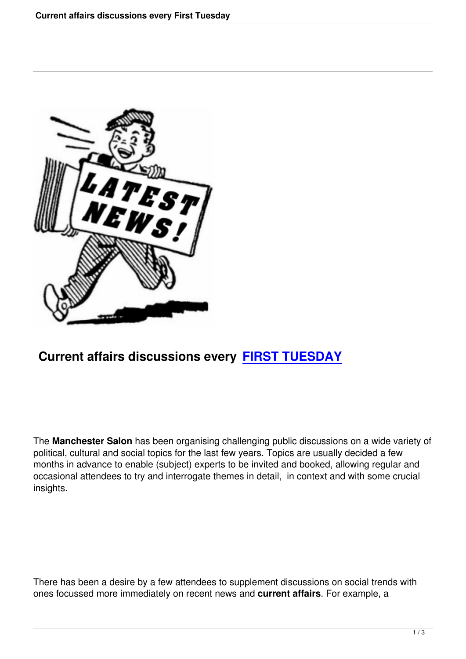

## **Current affairs discussions every FIRST TUESDAY**

The **Manchester Salon** has been organising challenging public discussions on a wide variety of political, cultural and social topics for the last few years. Topics are usually decided a few months in advance to enable (subject) experts to be invited and booked, allowing regular and occasional attendees to try and interrogate themes in detail, in context and with some crucial insights.

There has been a desire by a few attendees to supplement discussions on social trends with ones focussed more immediately on recent news and **current affairs**. For example, a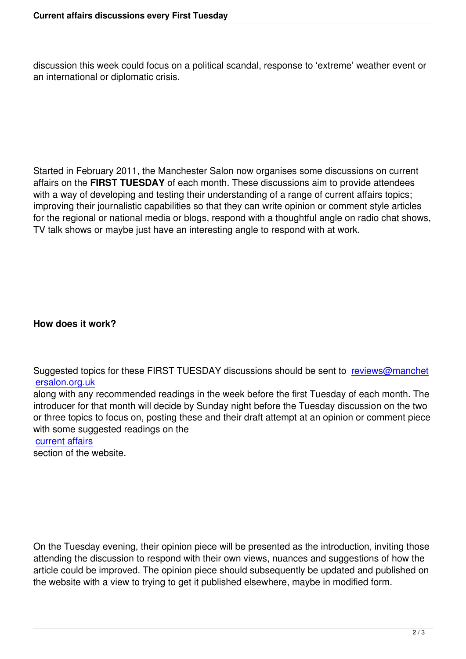discussion this week could focus on a political scandal, response to 'extreme' weather event or an international or diplomatic crisis.

Started in February 2011, the Manchester Salon now organises some discussions on current affairs on the **FIRST TUESDAY** of each month. These discussions aim to provide attendees with a way of developing and testing their understanding of a range of current affairs topics; improving their journalistic capabilities so that they can write opinion or comment style articles for the regional or national media or blogs, respond with a thoughtful angle on radio chat shows, TV talk shows or maybe just have an interesting angle to respond with at work.

**How does it work?**

Suggested topics for these FIRST TUESDAY discussions should be sent to reviews@manchet ersalon.org.uk

along with any recommended readings in the week before the first Tuesday of each month. The introducer for that month will decide by Sunday night before the Tuesday dis[cussion on the two](mailto:reviews@manchetersalon.org.uk) [or three topics](mailto:reviews@manchetersalon.org.uk) to focus on, posting these and their draft attempt at an opinion or comment piece with some suggested readings on the

## current affairs

section of the website.

On the Tuesday evening, their opinion piece will be presented as the introduction, inviting those attending the discussion to respond with their own views, nuances and suggestions of how the article could be improved. The opinion piece should subsequently be updated and published on the website with a view to trying to get it published elsewhere, maybe in modified form.